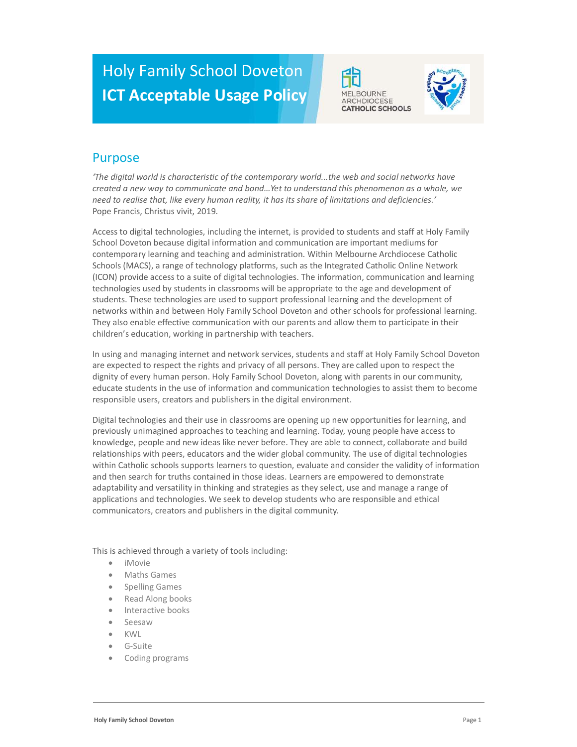# Holy Family School Doveton ICT Acceptable Usage Policy





### Purpose

'The digital world is characteristic of the contemporary world...the web and social networks have created a new way to communicate and bond…Yet to understand this phenomenon as a whole, we need to realise that, like every human reality, it has its share of limitations and deficiencies.' Pope Francis, Christus vivit, 2019.

Access to digital technologies, including the internet, is provided to students and staff at Holy Family School Doveton because digital information and communication are important mediums for contemporary learning and teaching and administration. Within Melbourne Archdiocese Catholic Schools (MACS), a range of technology platforms, such as the Integrated Catholic Online Network (ICON) provide access to a suite of digital technologies. The information, communication and learning technologies used by students in classrooms will be appropriate to the age and development of students. These technologies are used to support professional learning and the development of networks within and between Holy Family School Doveton and other schools for professional learning. They also enable effective communication with our parents and allow them to participate in their children's education, working in partnership with teachers.

In using and managing internet and network services, students and staff at Holy Family School Doveton are expected to respect the rights and privacy of all persons. They are called upon to respect the dignity of every human person. Holy Family School Doveton, along with parents in our community, educate students in the use of information and communication technologies to assist them to become responsible users, creators and publishers in the digital environment.

Digital technologies and their use in classrooms are opening up new opportunities for learning, and previously unimagined approaches to teaching and learning. Today, young people have access to knowledge, people and new ideas like never before. They are able to connect, collaborate and build relationships with peers, educators and the wider global community. The use of digital technologies within Catholic schools supports learners to question, evaluate and consider the validity of information and then search for truths contained in those ideas. Learners are empowered to demonstrate adaptability and versatility in thinking and strategies as they select, use and manage a range of applications and technologies. We seek to develop students who are responsible and ethical communicators, creators and publishers in the digital community.

This is achieved through a variety of tools including:

- iMovie
- Maths Games
- Spelling Games
- Read Along books
- Interactive books
- Seesaw
- KWL
- G-Suite
- Coding programs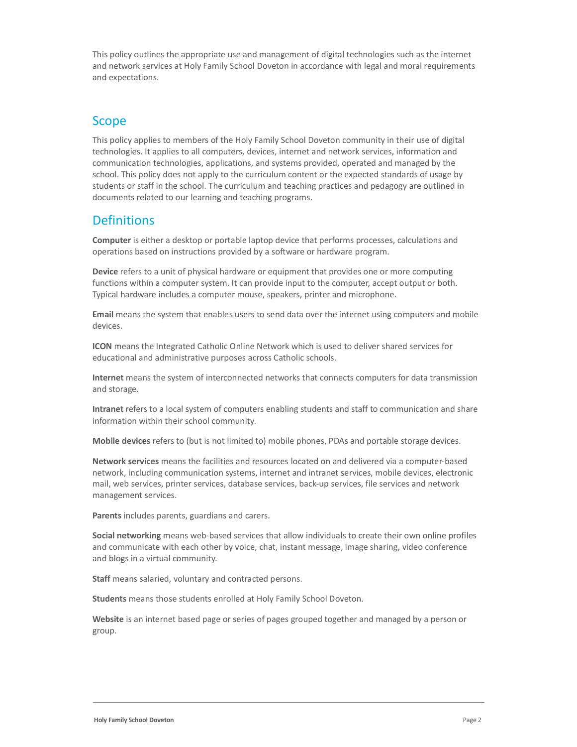This policy outlines the appropriate use and management of digital technologies such as the internet and network services at Holy Family School Doveton in accordance with legal and moral requirements and expectations.

### Scope

This policy applies to members of the Holy Family School Doveton community in their use of digital technologies. It applies to all computers, devices, internet and network services, information and communication technologies, applications, and systems provided, operated and managed by the school. This policy does not apply to the curriculum content or the expected standards of usage by students or staff in the school. The curriculum and teaching practices and pedagogy are outlined in documents related to our learning and teaching programs.

### **Definitions**

Computer is either a desktop or portable laptop device that performs processes, calculations and operations based on instructions provided by a software or hardware program.

Device refers to a unit of physical hardware or equipment that provides one or more computing functions within a computer system. It can provide input to the computer, accept output or both. Typical hardware includes a computer mouse, speakers, printer and microphone.

Email means the system that enables users to send data over the internet using computers and mobile devices.

ICON means the Integrated Catholic Online Network which is used to deliver shared services for educational and administrative purposes across Catholic schools.

Internet means the system of interconnected networks that connects computers for data transmission and storage.

Intranet refers to a local system of computers enabling students and staff to communication and share information within their school community.

Mobile devices refers to (but is not limited to) mobile phones, PDAs and portable storage devices.

Network services means the facilities and resources located on and delivered via a computer-based network, including communication systems, internet and intranet services, mobile devices, electronic mail, web services, printer services, database services, back-up services, file services and network management services.

Parents includes parents, guardians and carers.

Social networking means web-based services that allow individuals to create their own online profiles and communicate with each other by voice, chat, instant message, image sharing, video conference and blogs in a virtual community.

Staff means salaried, voluntary and contracted persons.

Students means those students enrolled at Holy Family School Doveton.

Website is an internet based page or series of pages grouped together and managed by a person or group.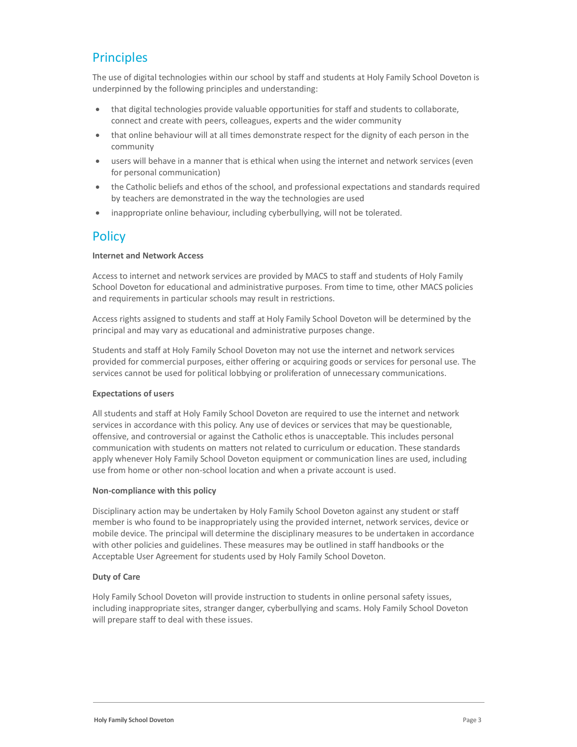# **Principles**

The use of digital technologies within our school by staff and students at Holy Family School Doveton is underpinned by the following principles and understanding:

- that digital technologies provide valuable opportunities for staff and students to collaborate, connect and create with peers, colleagues, experts and the wider community
- that online behaviour will at all times demonstrate respect for the dignity of each person in the community
- users will behave in a manner that is ethical when using the internet and network services (even for personal communication)
- the Catholic beliefs and ethos of the school, and professional expectations and standards required by teachers are demonstrated in the way the technologies are used
- inappropriate online behaviour, including cyberbullying, will not be tolerated.

### **Policy**

#### Internet and Network Access

Access to internet and network services are provided by MACS to staff and students of Holy Family School Doveton for educational and administrative purposes. From time to time, other MACS policies and requirements in particular schools may result in restrictions.

Access rights assigned to students and staff at Holy Family School Doveton will be determined by the principal and may vary as educational and administrative purposes change.

Students and staff at Holy Family School Doveton may not use the internet and network services provided for commercial purposes, either offering or acquiring goods or services for personal use. The services cannot be used for political lobbying or proliferation of unnecessary communications.

#### Expectations of users

All students and staff at Holy Family School Doveton are required to use the internet and network services in accordance with this policy. Any use of devices or services that may be questionable, offensive, and controversial or against the Catholic ethos is unacceptable. This includes personal communication with students on matters not related to curriculum or education. These standards apply whenever Holy Family School Doveton equipment or communication lines are used, including use from home or other non-school location and when a private account is used.

#### Non-compliance with this policy

Disciplinary action may be undertaken by Holy Family School Doveton against any student or staff member is who found to be inappropriately using the provided internet, network services, device or mobile device. The principal will determine the disciplinary measures to be undertaken in accordance with other policies and guidelines. These measures may be outlined in staff handbooks or the Acceptable User Agreement for students used by Holy Family School Doveton.

#### Duty of Care

Holy Family School Doveton will provide instruction to students in online personal safety issues, including inappropriate sites, stranger danger, cyberbullying and scams. Holy Family School Doveton will prepare staff to deal with these issues.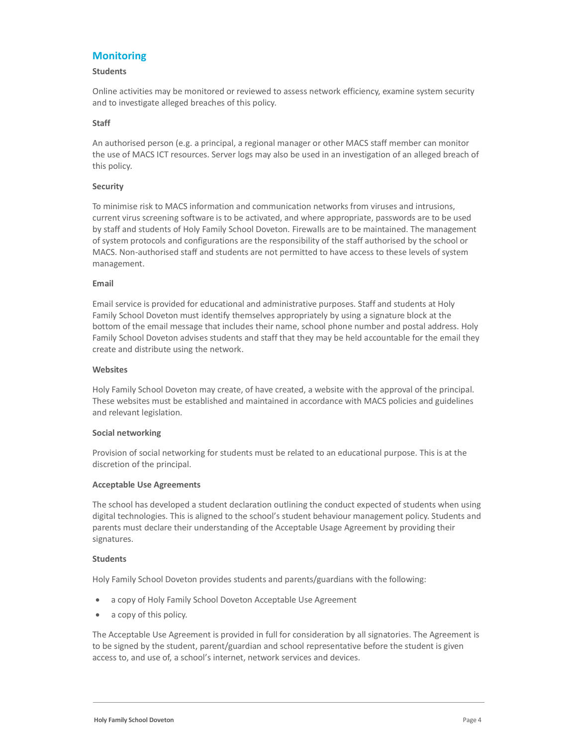### **Monitoring**

#### Students

Online activities may be monitored or reviewed to assess network efficiency, examine system security and to investigate alleged breaches of this policy.

#### Staff

An authorised person (e.g. a principal, a regional manager or other MACS staff member can monitor the use of MACS ICT resources. Server logs may also be used in an investigation of an alleged breach of this policy.

#### Security

To minimise risk to MACS information and communication networks from viruses and intrusions, current virus screening software is to be activated, and where appropriate, passwords are to be used by staff and students of Holy Family School Doveton. Firewalls are to be maintained. The management of system protocols and configurations are the responsibility of the staff authorised by the school or MACS. Non-authorised staff and students are not permitted to have access to these levels of system management.

#### Email

Email service is provided for educational and administrative purposes. Staff and students at Holy Family School Doveton must identify themselves appropriately by using a signature block at the bottom of the email message that includes their name, school phone number and postal address. Holy Family School Doveton advises students and staff that they may be held accountable for the email they create and distribute using the network.

#### **Websites**

Holy Family School Doveton may create, of have created, a website with the approval of the principal. These websites must be established and maintained in accordance with MACS policies and guidelines and relevant legislation.

#### Social networking

Provision of social networking for students must be related to an educational purpose. This is at the discretion of the principal.

#### Acceptable Use Agreements

The school has developed a student declaration outlining the conduct expected of students when using digital technologies. This is aligned to the school's student behaviour management policy. Students and parents must declare their understanding of the Acceptable Usage Agreement by providing their signatures.

#### Students

Holy Family School Doveton provides students and parents/guardians with the following:

- a copy of Holy Family School Doveton Acceptable Use Agreement
- a copy of this policy.

The Acceptable Use Agreement is provided in full for consideration by all signatories. The Agreement is to be signed by the student, parent/guardian and school representative before the student is given access to, and use of, a school's internet, network services and devices.